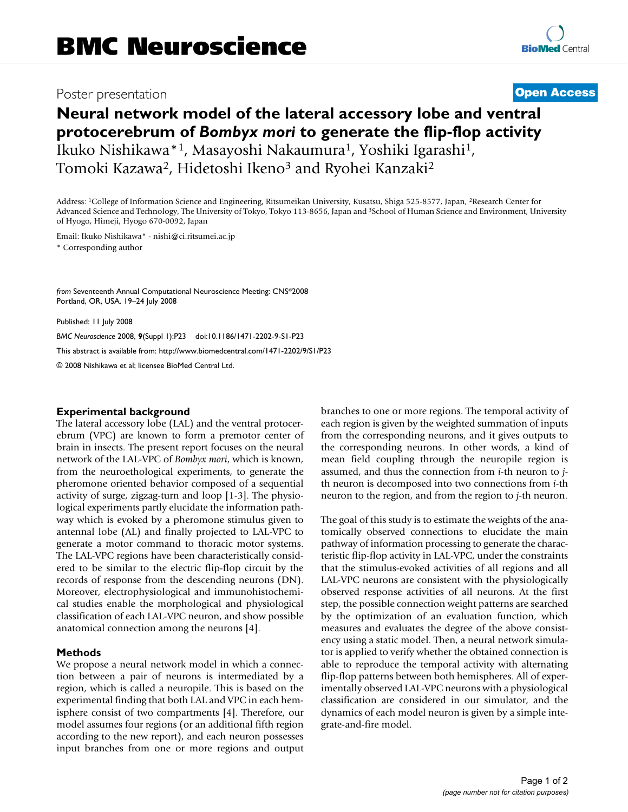## Poster presentation **Contract Contract Contract Contract Contract Contract Contract Contract Contract Contract Contract Contract Contract Contract Contract Contract Contract Contract Contract Contract Contract Contract Con**

# **Neural network model of the lateral accessory lobe and ventral protocerebrum of** *Bombyx mori* **to generate the flip-flop activity** Ikuko Nishikawa\*1, Masayoshi Nakaumura1, Yoshiki Igarashi1,

Tomoki Kazawa<sup>2</sup>, Hidetoshi Ikeno<sup>3</sup> and Ryohei Kanzaki<sup>2</sup>

Address: 1College of Information Science and Engineering, Ritsumeikan University, Kusatsu, Shiga 525-8577, Japan, 2Research Center for Advanced Science and Technology, The University of Tokyo, Tokyo 113-8656, Japan and <sup>3</sup>School of Human Science and Environment, University of Hyogo, Himeji, Hyogo 670-0092, Japan

Email: Ikuko Nishikawa\* - nishi@ci.ritsumei.ac.jp

\* Corresponding author

*from* Seventeenth Annual Computational Neuroscience Meeting: CNS\*2008 Portland, OR, USA. 19–24 July 2008

Published: 11 July 2008

*BMC Neuroscience* 2008, **9**(Suppl 1):P23 doi:10.1186/1471-2202-9-S1-P23 [This abstract is available from: http://www.biomedcentral.com/1471-2202/9/S1/P23](http://www.biomedcentral.com/1471-2202/9/S1/P23)

© 2008 Nishikawa et al; licensee BioMed Central Ltd.

### **Experimental background**

The lateral accessory lobe (LAL) and the ventral protocerebrum (VPC) are known to form a premotor center of brain in insects. The present report focuses on the neural network of the LAL-VPC of *Bombyx mori*, which is known, from the neuroethological experiments, to generate the pheromone oriented behavior composed of a sequential activity of surge, zigzag-turn and loop [1-3]. The physiological experiments partly elucidate the information pathway which is evoked by a pheromone stimulus given to antennal lobe (AL) and finally projected to LAL-VPC to generate a motor command to thoracic motor systems. The LAL-VPC regions have been characteristically considered to be similar to the electric flip-flop circuit by the records of response from the descending neurons (DN). Moreover, electrophysiological and immunohistochemical studies enable the morphological and physiological classification of each LAL-VPC neuron, and show possible anatomical connection among the neurons [4].

### **Methods**

We propose a neural network model in which a connection between a pair of neurons is intermediated by a region, which is called a neuropile. This is based on the experimental finding that both LAL and VPC in each hemisphere consist of two compartments [4]. Therefore, our model assumes four regions (or an additional fifth region according to the new report), and each neuron possesses input branches from one or more regions and output branches to one or more regions. The temporal activity of each region is given by the weighted summation of inputs from the corresponding neurons, and it gives outputs to the corresponding neurons. In other words, a kind of mean field coupling through the neuropile region is assumed, and thus the connection from *i*-th neuron to *j*th neuron is decomposed into two connections from *i*-th neuron to the region, and from the region to *j*-th neuron.

The goal of this study is to estimate the weights of the anatomically observed connections to elucidate the main pathway of information processing to generate the characteristic flip-flop activity in LAL-VPC, under the constraints that the stimulus-evoked activities of all regions and all LAL-VPC neurons are consistent with the physiologically observed response activities of all neurons. At the first step, the possible connection weight patterns are searched by the optimization of an evaluation function, which measures and evaluates the degree of the above consistency using a static model. Then, a neural network simulator is applied to verify whether the obtained connection is able to reproduce the temporal activity with alternating flip-flop patterns between both hemispheres. All of experimentally observed LAL-VPC neurons with a physiological classification are considered in our simulator, and the dynamics of each model neuron is given by a simple integrate-and-fire model.